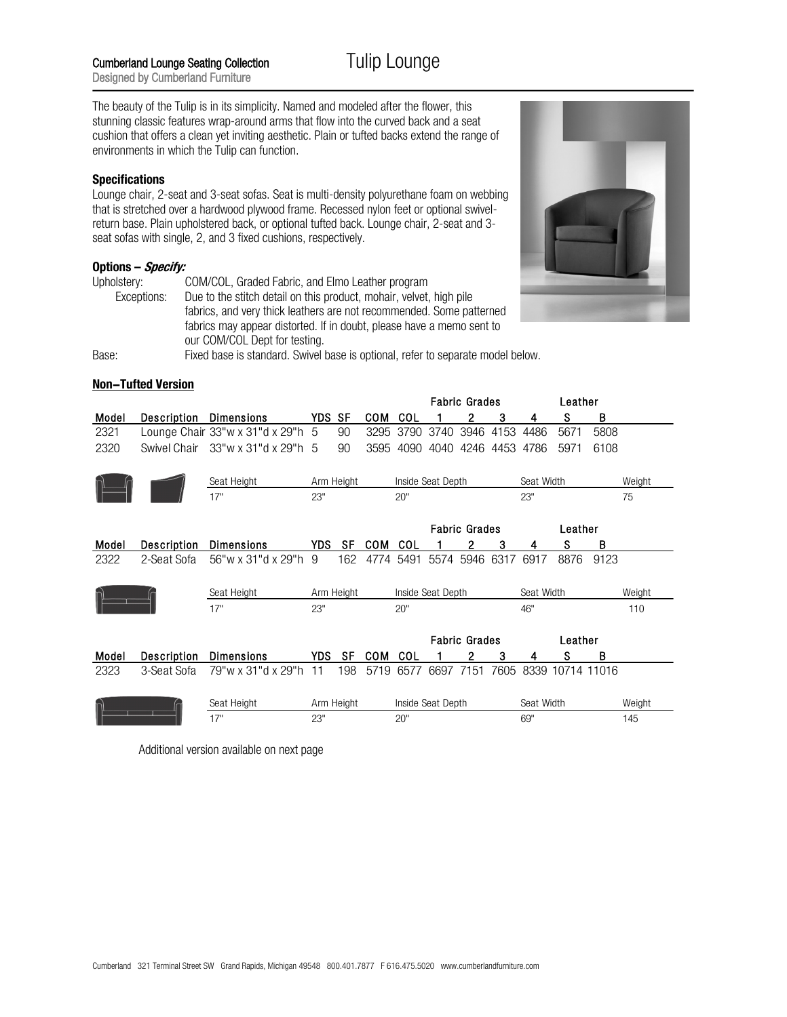The beauty of the Tulip is in its simplicity. Named and modeled after the flower, this stunning classic features wrap-around arms that flow into the curved back and a seat cushion that offers a clean yet inviting aesthetic. Plain or tufted backs extend the range of environments in which the Tulip can function.

## **Specifications**

Lounge chair, 2-seat and 3-seat sofas. Seat is multi-density polyurethane foam on webbing that is stretched over a hardwood plywood frame. Recessed nylon feet or optional swivelreturn base. Plain upholstered back, or optional tufted back. Lounge chair, 2-seat and 3 seat sofas with single, 2, and 3 fixed cushions, respectively.

## **Options – Specify:**

| Upholstery: | COM/COL, Graded Fabric, and Elmo Leather program                                |  |  |  |  |  |  |  |
|-------------|---------------------------------------------------------------------------------|--|--|--|--|--|--|--|
| Exceptions: | Due to the stitch detail on this product, mohair, velvet, high pile             |  |  |  |  |  |  |  |
|             | fabrics, and very thick leathers are not recommended. Some patterned            |  |  |  |  |  |  |  |
|             | fabrics may appear distorted. If in doubt, please have a memo sent to           |  |  |  |  |  |  |  |
|             | our COM/COL Dept for testing.                                                   |  |  |  |  |  |  |  |
| Base:       | Fixed base is standard. Swivel base is optional, refer to separate model below. |  |  |  |  |  |  |  |



## **Non!Tufted Version**

|             |              |                                                  |        |            |            | <b>Fabric Grades</b> |                   |                      |      |                |         | Leather |        |
|-------------|--------------|--------------------------------------------------|--------|------------|------------|----------------------|-------------------|----------------------|------|----------------|---------|---------|--------|
| Model       | Description  | <b>Dimensions</b>                                | YDS SF |            | <b>COM</b> | COL                  |                   | 2                    | 3    | 4              | s       | В       |        |
| 2321        |              | Lounge Chair $33''w \times 31''d \times 29''h$ 5 |        | 90         | 3295       | 3790                 | 3740              | 3946                 | 4153 | 4486           | 5671    | 5808    |        |
| 2320        | Swivel Chair | 33"w x 31"d x 29"h 5                             |        | 90         | 3595       | 4090                 | 4040              |                      |      | 4246 4453 4786 | 5971    | 6108    |        |
|             |              | Seat Height                                      |        | Arm Height |            | Inside Seat Depth    |                   |                      |      | Seat Width     |         |         | Weight |
|             |              | 17"                                              | 23"    |            |            | 20"                  |                   |                      |      | 23"            |         |         | 75     |
|             |              |                                                  |        |            |            |                      |                   | <b>Fabric Grades</b> |      |                | Leather |         |        |
| Model       | Description  | <b>Dimensions</b>                                | YDS.   | SF         | <b>COM</b> | COL                  |                   | 2                    | 3    | 4              | S       | В       |        |
| 2322        | 2-Seat Sofa  | 56"w x 31"d x 29"h                               | 9      | 162        | 4774       | 5491                 | 5574              | 5946                 | 6317 | 6917           | 8876    | 9123    |        |
|             |              | Seat Height                                      |        | Arm Height |            |                      | Inside Seat Depth |                      |      | Seat Width     |         |         | Weight |
|             |              | 17"                                              | 23"    |            |            | 20"                  |                   |                      |      | 46"            |         |         | 110    |
|             |              |                                                  |        |            |            |                      |                   | <b>Fabric Grades</b> |      |                | Leather |         |        |
| Model       | Description  | <b>Dimensions</b>                                | YDS.   | <b>SF</b>  | <b>COM</b> | COL                  |                   | 2                    | 3    | 4              | S       | B       |        |
| 2323        | 3-Seat Sofa  | 79"w x 31"d x 29"h                               | 11     | 198        | 5719       | 6577                 | 6697              | 7151                 | 7605 | 8339           | 10714   | 11016   |        |
| Seat Height |              |                                                  |        | Arm Height |            |                      | Inside Seat Depth |                      |      | Seat Width     |         |         | Weight |
|             |              | 17"                                              | 23"    |            |            | 20"                  |                   |                      |      | 69"            |         |         | 145    |

Additional version available on next page